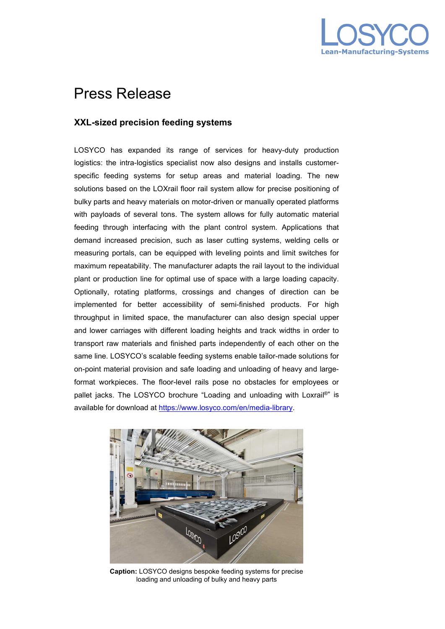

## Press Release

## **XXL-sized precision feeding systems**

LOSYCO has expanded its range of services for heavy-duty production logistics: the intra-logistics specialist now also designs and installs customerspecific feeding systems for setup areas and material loading. The new solutions based on the LOXrail floor rail system allow for precise positioning of bulky parts and heavy materials on motor-driven or manually operated platforms with payloads of several tons. The system allows for fully automatic material feeding through interfacing with the plant control system. Applications that demand increased precision, such as laser cutting systems, welding cells or measuring portals, can be equipped with leveling points and limit switches for maximum repeatability. The manufacturer adapts the rail layout to the individual plant or production line for optimal use of space with a large loading capacity. Optionally, rotating platforms, crossings and changes of direction can be implemented for better accessibility of semi-finished products. For high throughput in limited space, the manufacturer can also design special upper and lower carriages with different loading heights and track widths in order to transport raw materials and finished parts independently of each other on the same line. LOSYCO's scalable feeding systems enable tailor-made solutions for on-point material provision and safe loading and unloading of heavy and largeformat workpieces. The floor-level rails pose no obstacles for employees or pallet jacks. The LOSYCO brochure "Loading and unloading with Loxrail®" is available for download at [https://www.losyco.com/en/media-library.](https://www.losyco.com/en/media-library)



**Caption:** LOSYCO designs bespoke feeding systems for precise loading and unloading of bulky and heavy parts